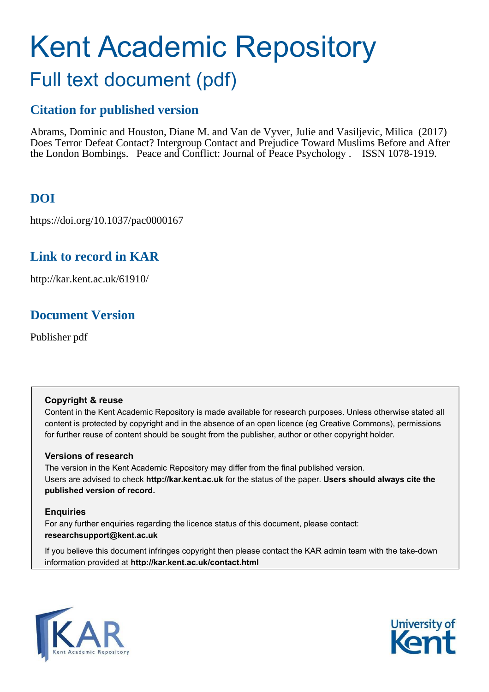# Kent Academic Repository Full text document (pdf)

### **Citation for published version**

Abrams, Dominic and Houston, Diane M. and Van de Vyver, Julie and Vasiljevic, Milica (2017) Does Terror Defeat Contact? Intergroup Contact and Prejudice Toward Muslims Before and After the London Bombings. Peace and Conflict: Journal of Peace Psychology . ISSN 1078-1919.

### **DOI**

https://doi.org/10.1037/pac0000167

### **Link to record in KAR**

http://kar.kent.ac.uk/61910/

### **Document Version**

Publisher pdf

### **Copyright & reuse**

Content in the Kent Academic Repository is made available for research purposes. Unless otherwise stated all content is protected by copyright and in the absence of an open licence (eg Creative Commons), permissions for further reuse of content should be sought from the publisher, author or other copyright holder.

### **Versions of research**

The version in the Kent Academic Repository may differ from the final published version. Users are advised to check **http://kar.kent.ac.uk** for the status of the paper. **Users should always cite the published version of record.**

### **Enquiries**

For any further enquiries regarding the licence status of this document, please contact: **researchsupport@kent.ac.uk**

If you believe this document infringes copyright then please contact the KAR admin team with the take-down information provided at **http://kar.kent.ac.uk/contact.html**



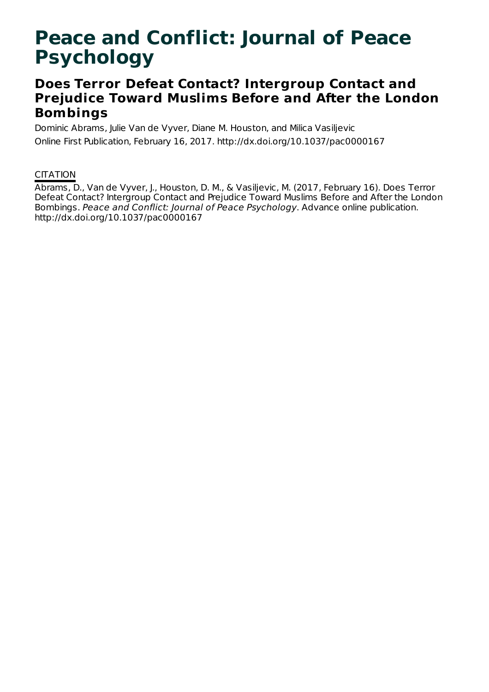## **Peace and Conflict: Journal of Peace Psychology**

### **Does Terror Defeat Contact? Intergroup Contact and Prejudice Toward Muslims Before and After the London Bombings**

Dominic Abrams, Julie Van de Vyver, Diane M. Houston, and Milica Vasiljevic Online First Publication, February 16, 2017. http://dx.doi.org/10.1037/pac0000167

### **CITATION**

Abrams, D., Van de Vyver, J., Houston, D. M., & Vasiljevic, M. (2017, February 16). Does Terror Defeat Contact? Intergroup Contact and Prejudice Toward Muslims Before and After the London Bombings. Peace and Conflict: Journal of Peace Psychology. Advance online publication. http://dx.doi.org/10.1037/pac0000167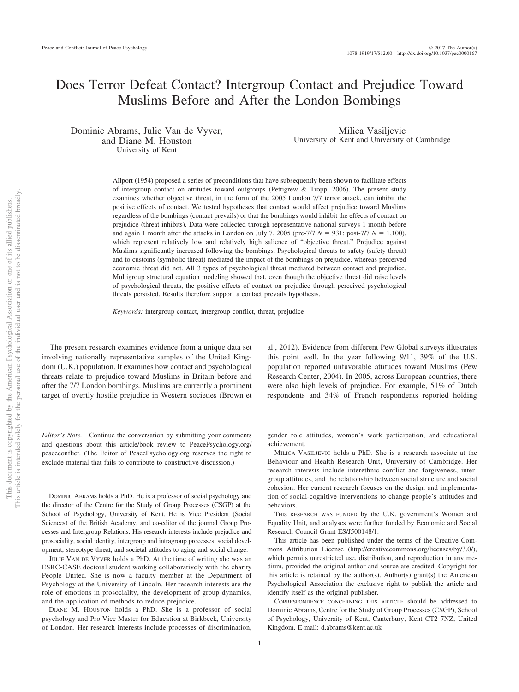### Does Terror Defeat Contact? Intergroup Contact and Prejudice Toward Muslims Before and After the London Bombings

Dominic Abrams, Julie Van de Vyver, and Diane M. Houston University of Kent

Milica Vasiljevic University of Kent and University of Cambridge

Allport (1954) proposed a series of preconditions that have subsequently been shown to facilitate effects of intergroup contact on attitudes toward outgroups (Pettigrew  $&$  Tropp, 2006). The present study examines whether objective threat, in the form of the 2005 London 7/7 terror attack, can inhibit the positive effects of contact. We tested hypotheses that contact would affect prejudice toward Muslims regardless of the bombings (contact prevails) or that the bombings would inhibit the effects of contact on prejudice (threat inhibits). Data were collected through representative national surveys 1 month before and again 1 month after the attacks in London on July 7, 2005 (pre-7/7  $N = 931$ ; post-7/7  $N = 1,100$ ), which represent relatively low and relatively high salience of "objective threat." Prejudice against Muslims significantly increased following the bombings. Psychological threats to safety (safety threat) and to customs (symbolic threat) mediated the impact of the bombings on prejudice, whereas perceived economic threat did not. All 3 types of psychological threat mediated between contact and prejudice. Multigroup structural equation modeling showed that, even though the objective threat did raise levels of psychological threats, the positive effects of contact on prejudice through perceived psychological threats persisted. Results therefore support a contact prevails hypothesis.

*Keywords:* intergroup contact, intergroup conflict, threat, prejudice

The present research examines evidence from a unique data set involving nationally representative samples of the United Kingdom (U.K.) population. It examines how contact and psychological threats relate to prejudice toward Muslims in Britain before and after the 7/7 London bombings. Muslims are currently a prominent target of overtly hostile prejudice in Western societies (Brown et al., 2012). Evidence from different Pew Global surveys illustrates this point well. In the year following 9/11, 39% of the U.S. population reported unfavorable attitudes toward Muslims (Pew Research Center, 2004). In 2005, across European countries, there were also high levels of prejudice. For example, 51% of Dutch respondents and 34% of French respondents reported holding

*Editor's Note.* Continue the conversation by submitting your comments and questions about this article/book review to [PeacePsychology.org/](http://PeacePsychology.org/peaceconflict) [peaceconflict.](http://PeacePsychology.org/peaceconflict) (The Editor of [PeacePsychology.org](http://PeacePsychology.org) reserves the right to exclude material that fails to contribute to constructive discussion.)

DOMINIC ABRAMS holds a PhD. He is a professor of social psychology and the director of the Centre for the Study of Group Processes (CSGP) at the School of Psychology, University of Kent. He is Vice President (Social Sciences) of the British Academy, and co-editor of the journal Group Processes and Intergroup Relations. His research interests include prejudice and prosociality, social identity, intergroup and intragroup processes, social development, stereotype threat, and societal attitudes to aging and social change.

JULIE VAN DE VYVER holds a PhD. At the time of writing she was an ESRC-CASE doctoral student working collaboratively with the charity People United. She is now a faculty member at the Department of Psychology at the University of Lincoln. Her research interests are the role of emotions in prosociality, the development of group dynamics, and the application of methods to reduce prejudice.

DIANE M. HOUSTON holds a PhD. She is a professor of social psychology and Pro Vice Master for Education at Birkbeck, University of London. Her research interests include processes of discrimination,

gender role attitudes, women's work participation, and educational achievement.

MILICA VASILJEVIC holds a PhD. She is a research associate at the Behaviour and Health Research Unit, University of Cambridge. Her research interests include interethnic conflict and forgiveness, intergroup attitudes, and the relationship between social structure and social cohesion. Her current research focuses on the design and implementation of social-cognitive interventions to change people's attitudes and behaviors.

THIS RESEARCH WAS FUNDED by the U.K. government's Women and Equality Unit, and analyses were further funded by Economic and Social Research Council Grant ES/J500148/1.

This article has been published under the terms of the Creative Commons Attribution License [\(http://creativecommons.org/licenses/by/3.0/\)](http://creativecommons.org/licenses/by/3.0/), which permits unrestricted use, distribution, and reproduction in any medium, provided the original author and source are credited. Copyright for this article is retained by the author(s). Author(s) grant(s) the American Psychological Association the exclusive right to publish the article and identify itself as the original publisher.

CORRESPONDENCE CONCERNING THIS ARTICLE should be addressed to Dominic Abrams, Centre for the Study of Group Processes (CSGP), School of Psychology, University of Kent, Canterbury, Kent CT2 7NZ, United Kingdom. E-mail: [d.abrams@kent.ac.uk](mailto:d.abrams@kent.ac.uk)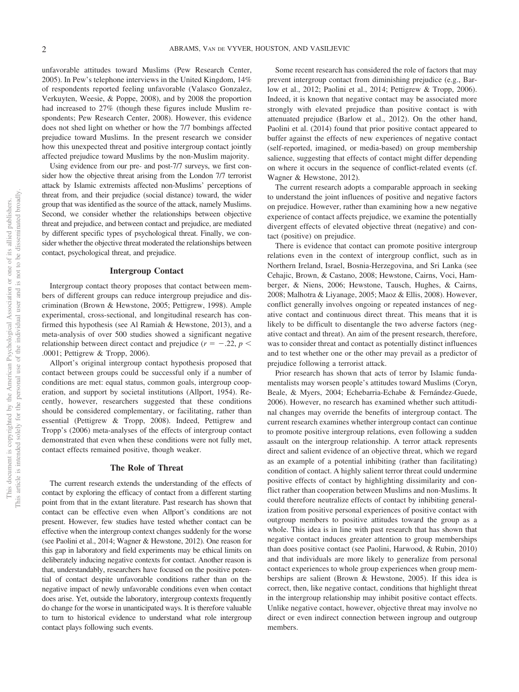unfavorable attitudes toward Muslims (Pew Research Center, 2005). In Pew's telephone interviews in the United Kingdom, 14% of respondents reported feeling unfavorable (Valasco Gonzalez, Verkuyten, Weesie, & Poppe, 2008), and by 2008 the proportion had increased to 27% (though these figures include Muslim respondents; Pew Research Center, 2008). However, this evidence does not shed light on whether or how the 7/7 bombings affected prejudice toward Muslims. In the present research we consider how this unexpected threat and positive intergroup contact jointly affected prejudice toward Muslims by the non-Muslim majority.

Using evidence from our pre- and post-7/7 surveys, we first consider how the objective threat arising from the London 7/7 terrorist attack by Islamic extremists affected non-Muslims' perceptions of threat from, and their prejudice (social distance) toward, the wider group that was identified as the source of the attack, namely Muslims. Second, we consider whether the relationships between objective threat and prejudice, and between contact and prejudice, are mediated by different specific types of psychological threat. Finally, we consider whether the objective threat moderated the relationships between contact, psychological threat, and prejudice.

#### **Intergroup Contact**

Intergroup contact theory proposes that contact between members of different groups can reduce intergroup prejudice and discrimination (Brown & Hewstone, 2005; Pettigrew, 1998). Ample experimental, cross-sectional, and longitudinal research has confirmed this hypothesis (see Al Ramiah & Hewstone, 2013), and a meta-analysis of over 500 studies showed a significant negative relationship between direct contact and prejudice ( $r = -.22$ ,  $p <$ .0001; Pettigrew & Tropp, 2006).

Allport's original intergroup contact hypothesis proposed that contact between groups could be successful only if a number of conditions are met: equal status, common goals, intergroup cooperation, and support by societal institutions (Allport, 1954). Recently, however, researchers suggested that these conditions should be considered complementary, or facilitating, rather than essential (Pettigrew & Tropp, 2008). Indeed, Pettigrew and Tropp's (2006) meta-analyses of the effects of intergroup contact demonstrated that even when these conditions were not fully met, contact effects remained positive, though weaker.

#### **The Role of Threat**

The current research extends the understanding of the effects of contact by exploring the efficacy of contact from a different starting point from that in the extant literature. Past research has shown that contact can be effective even when Allport's conditions are not present. However, few studies have tested whether contact can be effective when the intergroup context changes suddenly for the worse (see Paolini et al., 2014; Wagner & Hewstone, 2012). One reason for this gap in laboratory and field experiments may be ethical limits on deliberately inducing negative contexts for contact. Another reason is that, understandably, researchers have focused on the positive potential of contact despite unfavorable conditions rather than on the negative impact of newly unfavorable conditions even when contact does arise. Yet, outside the laboratory, intergroup contexts frequently do change for the worse in unanticipated ways. It is therefore valuable to turn to historical evidence to understand what role intergroup contact plays following such events.

Some recent research has considered the role of factors that may prevent intergroup contact from diminishing prejudice (e.g., Barlow et al., 2012; Paolini et al., 2014; Pettigrew & Tropp, 2006). Indeed, it is known that negative contact may be associated more strongly with elevated prejudice than positive contact is with attenuated prejudice (Barlow et al., 2012). On the other hand, Paolini et al. (2014) found that prior positive contact appeared to buffer against the effects of new experiences of negative contact (self-reported, imagined, or media-based) on group membership salience, suggesting that effects of contact might differ depending on where it occurs in the sequence of conflict-related events (cf. Wagner & Hewstone, 2012).

The current research adopts a comparable approach in seeking to understand the joint influences of positive and negative factors on prejudice. However, rather than examining how a new negative experience of contact affects prejudice, we examine the potentially divergent effects of elevated objective threat (negative) and contact (positive) on prejudice.

There is evidence that contact can promote positive intergroup relations even in the context of intergroup conflict, such as in Northern Ireland, Israel, Bosnia-Herzegovina, and Sri Lanka (see Cehajic, Brown, & Castano, 2008; [Hewstone, Cairns, Voci, Ham](#page-8-0)[berger, & Niens, 2006;](#page-8-0) [Hewstone, Tausch, Hughes, & Cairns,](#page-8-1) [2008;](#page-8-1) Malhotra & Liyanage, 2005; Maoz & Ellis, 2008). However, conflict generally involves ongoing or repeated instances of negative contact and continuous direct threat. This means that it is likely to be difficult to disentangle the two adverse factors (negative contact and threat). An aim of the present research, therefore, was to consider threat and contact as potentially distinct influences and to test whether one or the other may prevail as a predictor of prejudice following a terrorist attack.

Prior research has shown that acts of terror by Islamic fundamentalists may worsen people's attitudes toward Muslims (Coryn, Beale, & Myers, 2004; Echebarria-Echabe & Fernández-Guede, 2006). However, no research has examined whether such attitudinal changes may override the benefits of intergroup contact. The current research examines whether intergroup contact can continue to promote positive intergroup relations, even following a sudden assault on the intergroup relationship. A terror attack represents direct and salient evidence of an objective threat, which we regard as an example of a potential inhibiting (rather than facilitating) condition of contact. A highly salient terror threat could undermine positive effects of contact by highlighting dissimilarity and conflict rather than cooperation between Muslims and non-Muslims. It could therefore neutralize effects of contact by inhibiting generalization from positive personal experiences of positive contact with outgroup members to positive attitudes toward the group as a whole. This idea is in line with past research that has shown that negative contact induces greater attention to group memberships than does positive contact (see Paolini, Harwood, & Rubin, 2010) and that individuals are more likely to generalize from personal contact experiences to whole group experiences when group memberships are salient (Brown & Hewstone, 2005). If this idea is correct, then, like negative contact, conditions that highlight threat in the intergroup relationship may inhibit positive contact effects. Unlike negative contact, however, objective threat may involve no direct or even indirect connection between ingroup and outgroup members.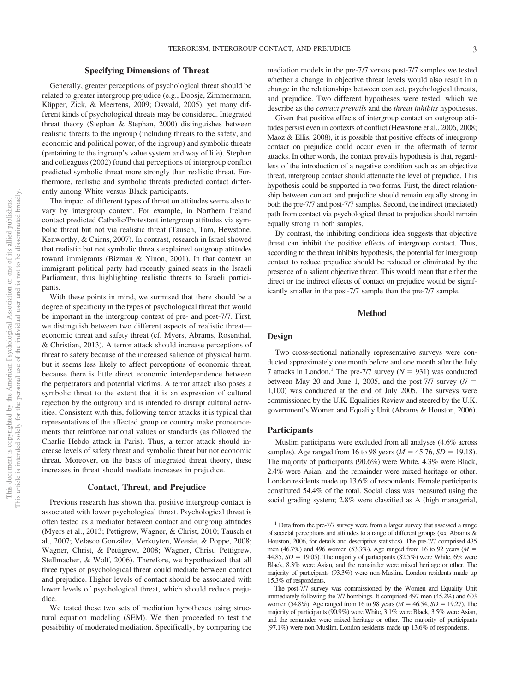#### **Specifying Dimensions of Threat**

Generally, greater perceptions of psychological threat should be related to greater intergroup prejudice (e.g., Doosje, Zimmermann, Küpper, Zick, & Meertens, 2009; Oswald, 2005), yet many different kinds of psychological threats may be considered. Integrated threat theory (Stephan & Stephan, 2000) distinguishes between realistic threats to the ingroup (including threats to the safety, and economic and political power, of the ingroup) and symbolic threats (pertaining to the ingroup's value system and way of life). Stephan and colleagues (2002) found that perceptions of intergroup conflict predicted symbolic threat more strongly than realistic threat. Furthermore, realistic and symbolic threats predicted contact differently among White versus Black participants.

The impact of different types of threat on attitudes seems also to vary by intergroup context. For example, in Northern Ireland contact predicted Catholic/Protestant intergroup attitudes via symbolic threat but not via realistic threat (Tausch, Tam, Hewstone, Kenworthy, & Cairns, 2007). In contrast, research in Israel showed that realistic but not symbolic threats explained outgroup attitudes toward immigrants (Bizman & Yinon, 2001). In that context an immigrant political party had recently gained seats in the Israeli Parliament, thus highlighting realistic threats to Israeli participants.

With these points in mind, we surmised that there should be a degree of specificity in the types of psychological threat that would be important in the intergroup context of pre- and post-7/7. First, we distinguish between two different aspects of realistic threat economic threat and safety threat (cf. Myers, Abrams, Rosenthal, & Christian, 2013). A terror attack should increase perceptions of threat to safety because of the increased salience of physical harm, but it seems less likely to affect perceptions of economic threat, because there is little direct economic interdependence between the perpetrators and potential victims. A terror attack also poses a symbolic threat to the extent that it is an expression of cultural rejection by the outgroup and is intended to disrupt cultural activities. Consistent with this, following terror attacks it is typical that representatives of the affected group or country make pronouncements that reinforce national values or standards (as followed the Charlie Hebdo attack in Paris). Thus, a terror attack should increase levels of safety threat and symbolic threat but not economic threat. Moreover, on the basis of integrated threat theory, these increases in threat should mediate increases in prejudice.

#### **Contact, Threat, and Prejudice**

Previous research has shown that positive intergroup contact is associated with lower psychological threat. Psychological threat is often tested as a mediator between contact and outgroup attitudes (Myers et al., 2013; Pettigrew, Wagner, & Christ, 2010; Tausch et al., 2007; Velasco González, Verkuyten, Weesie, & Poppe, 2008; Wagner, Christ, & Pettigrew, 2008; Wagner, Christ, Pettigrew, Stellmacher, & Wolf, 2006). Therefore, we hypothesized that all three types of psychological threat could mediate between contact and prejudice. Higher levels of contact should be associated with lower levels of psychological threat, which should reduce prejudice.

We tested these two sets of mediation hypotheses using structural equation modeling (SEM). We then proceeded to test the possibility of moderated mediation. Specifically, by comparing the mediation models in the pre-7/7 versus post-7/7 samples we tested whether a change in objective threat levels would also result in a change in the relationships between contact, psychological threats, and prejudice. Two different hypotheses were tested, which we describe as the *contact prevails* and the *threat inhibits* hypotheses.

Given that positive effects of intergroup contact on outgroup attitudes persist even in contexts of conflict [\(Hewstone et al., 2006,](#page-8-0) [2008;](#page-8-1) Maoz & Ellis, 2008), it is possible that positive effects of intergroup contact on prejudice could occur even in the aftermath of terror attacks. In other words, the contact prevails hypothesis is that, regardless of the introduction of a negative condition such as an objective threat, intergroup contact should attenuate the level of prejudice. This hypothesis could be supported in two forms. First, the direct relationship between contact and prejudice should remain equally strong in both the pre-7/7 and post-7/7 samples. Second, the indirect (mediated) path from contact via psychological threat to prejudice should remain equally strong in both samples.

By contrast, the inhibiting conditions idea suggests that objective threat can inhibit the positive effects of intergroup contact. Thus, according to the threat inhibits hypothesis, the potential for intergroup contact to reduce prejudice should be reduced or eliminated by the presence of a salient objective threat. This would mean that either the direct or the indirect effects of contact on prejudice would be significantly smaller in the post-7/7 sample than the pre-7/7 sample.

#### **Method**

#### **Design**

Two cross-sectional nationally representative surveys were conducted approximately one month before and one month after the July 7 attacks in London.<sup>1</sup> The pre-7/7 survey  $(N = 931)$  was conducted between May 20 and June 1, 2005, and the post-7/7 survey  $(N =$ 1,100) was conducted at the end of July 2005. The surveys were commissioned by the U.K. Equalities Review and steered by the U.K. government's Women and Equality Unit (Abrams & Houston, 2006).

#### **Participants**

Muslim participants were excluded from all analyses (4.6% across samples). Age ranged from 16 to 98 years ( $M = 45.76$ ,  $SD = 19.18$ ). The majority of participants (90.6%) were White, 4.3% were Black, 2.4% were Asian, and the remainder were mixed heritage or other. London residents made up 13.6% of respondents. Female participants constituted 54.4% of the total. Social class was measured using the social grading system; 2.8% were classified as A (high managerial,

<sup>&</sup>lt;sup>1</sup> Data from the pre-7/7 survey were from a larger survey that assessed a range of societal perceptions and attitudes to a range of different groups (see Abrams & Houston, 2006, for details and descriptive statistics). The pre-7/7 comprised 435 men (46.7%) and 496 women (53.3%). Age ranged from 16 to 92 years ( $M =$ 44.85,  $SD = 19.05$ ). The majority of participants  $(82.5\%)$  were White, 6% were Black, 8.3% were Asian, and the remainder were mixed heritage or other. The majority of participants (93.3%) were non-Muslim. London residents made up 15.3% of respondents.

The post-7/7 survey was commissioned by the Women and Equality Unit immediately following the 7/7 bombings. It comprised 497 men (45.2%) and 603 women (54.8%). Age ranged from 16 to 98 years ( $M = 46.54$ ,  $SD = 19.27$ ). The majority of participants (90.9%) were White, 3.1% were Black, 3.5% were Asian, and the remainder were mixed heritage or other. The majority of participants (97.1%) were non-Muslim. London residents made up 13.6% of respondents.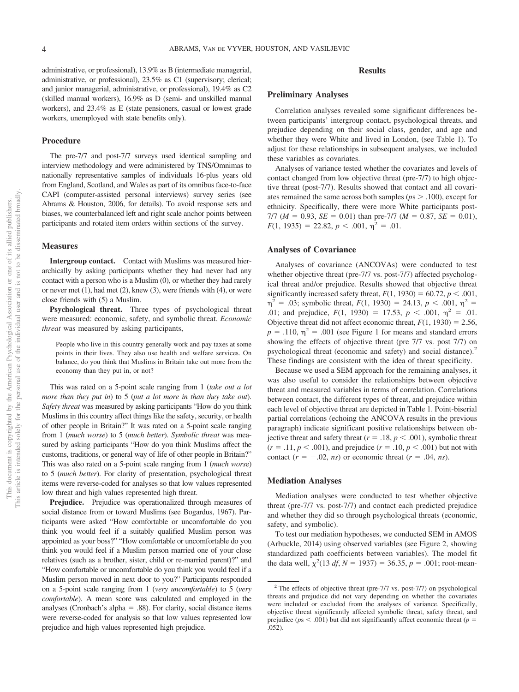administrative, or professional), 13.9% as B (intermediate managerial, administrative, or professional), 23.5% as C1 (supervisory; clerical; and junior managerial, administrative, or professional), 19.4% as C2 (skilled manual workers), 16.9% as D (semi- and unskilled manual workers), and 23.4% as E (state pensioners, casual or lowest grade workers, unemployed with state benefits only).

#### **Procedure**

The pre-7/7 and post-7/7 surveys used identical sampling and interview methodology and were administered by TNS/Omnimas to nationally representative samples of individuals 16-plus years old from England, Scotland, and Wales as part of its omnibus face-to-face CAPI (computer-assisted personal interviews) survey series (see Abrams & Houston, 2006, for details). To avoid response sets and biases, we counterbalanced left and right scale anchor points between participants and rotated item orders within sections of the survey.

#### **Measures**

**Intergroup contact.** Contact with Muslims was measured hierarchically by asking participants whether they had never had any contact with a person who is a Muslim (0), or whether they had rarely or never met (1), had met (2), knew (3), were friends with (4), or were close friends with (5) a Muslim.

**Psychological threat.** Three types of psychological threat were measured: economic, safety, and symbolic threat. *Economic threat* was measured by asking participants,

People who live in this country generally work and pay taxes at some points in their lives. They also use health and welfare services. On balance, do you think that Muslims in Britain take out more from the economy than they put in, or not?

This was rated on a 5-point scale ranging from 1 (*take out a lot more than they put in*) to 5 (*put a lot more in than they take out*). *Safety threat* was measured by asking participants "How do you think Muslims in this country affect things like the safety, security, or health of other people in Britain?" It was rated on a 5-point scale ranging from 1 (*much worse*) to 5 (*much better*). *Symbolic threat* was measured by asking participants "How do you think Muslims affect the customs, traditions, or general way of life of other people in Britain?" This was also rated on a 5-point scale ranging from 1 (*much wors*e) to 5 (*much better*). For clarity of presentation, psychological threat items were reverse-coded for analyses so that low values represented low threat and high values represented high threat.

**Prejudice.** Prejudice was operationalized through measures of social distance from or toward Muslims (see Bogardus, 1967). Participants were asked "How comfortable or uncomfortable do you think you would feel if a suitably qualified Muslim person was appointed as your boss?" "How comfortable or uncomfortable do you think you would feel if a Muslim person married one of your close relatives (such as a brother, sister, child or re-married parent)?" and "How comfortable or uncomfortable do you think you would feel if a Muslim person moved in next door to you?" Participants responded on a 5-point scale ranging from 1 (*very uncomfortable*) to 5 (*very comfortable*). A mean score was calculated and employed in the analyses (Cronbach's alpha = .88). For clarity, social distance items were reverse-coded for analysis so that low values represented low prejudice and high values represented high prejudice.

#### **Results**

#### **Preliminary Analyses**

Correlation analyses revealed some significant differences between participants' intergroup contact, psychological threats, and prejudice depending on their social class, gender, and age and whether they were White and lived in London, (see Table 1). To adjust for these relationships in subsequent analyses, we included these variables as covariates.

Analyses of variance tested whether the covariates and levels of contact changed from low objective threat (pre-7/7) to high objective threat (post-7/7). Results showed that contact and all covariates remained the same across both samples (*p*s .100), except for ethnicity. Specifically, there were more White participants post-7/7 ( $M = 0.93$ ,  $SE = 0.01$ ) than pre-7/7 ( $M = 0.87$ ,  $SE = 0.01$ ),  $F(1, 1935) = 22.82, p < .001, \eta^2 = .01.$ 

#### **Analyses of Covariance**

Analyses of covariance (ANCOVAs) were conducted to test whether objective threat (pre-7/7 vs. post-7/7) affected psychological threat and/or prejudice. Results showed that objective threat significantly increased safety threat,  $F(1, 1930) = 60.72, p < .001$ ,  $\eta^2 = .03$ ; symbolic threat,  $F(1, 1930) = 24.13$ ,  $p < .001$ ,  $\eta^2 =$ .01; and prejudice,  $F(1, 1930) = 17.53$ ,  $p < .001$ ,  $\eta^2 = .01$ . Objective threat did not affect economic threat,  $F(1, 1930) = 2.56$ ,  $p = .110$ ,  $\eta^2 = .001$  (see Figure 1 for means and standard errors showing the effects of objective threat (pre 7/7 vs. post 7/7) on psychological threat (economic and safety) and social distance).<sup>2</sup> These findings are consistent with the idea of threat specificity.

Because we used a SEM approach for the remaining analyses, it was also useful to consider the relationships between objective threat and measured variables in terms of correlation. Correlations between contact, the different types of threat, and prejudice within each level of objective threat are depicted in Table 1. Point-biserial partial correlations (echoing the ANCOVA results in the previous paragraph) indicate significant positive relationships between objective threat and safety threat ( $r = .18$ ,  $p < .001$ ), symbolic threat  $(r = .11, p < .001)$ , and prejudice  $(r = .10, p < .001)$  but not with contact  $(r = -.02, ns)$  or economic threat  $(r = .04, ns)$ .

#### **Mediation Analyses**

Mediation analyses were conducted to test whether objective threat (pre-7/7 vs. post-7/7) and contact each predicted prejudice and whether they did so through psychological threats (economic, safety, and symbolic).

To test our mediation hypotheses, we conducted SEM in AMOS (Arbuckle, 2014) using observed variables (see Figure 2, showing standardized path coefficients between variables). The model fit the data well,  $\chi^2(13 \text{ df}, N = 1937) = 36.35, p = .001$ ; root-mean-

 $2$  The effects of objective threat (pre-7/7 vs. post-7/7) on psychological threats and prejudice did not vary depending on whether the covariates were included or excluded from the analyses of variance. Specifically, objective threat significantly affected symbolic threat, safety threat, and prejudice ( $ps < .001$ ) but did not significantly affect economic threat ( $p =$ .052).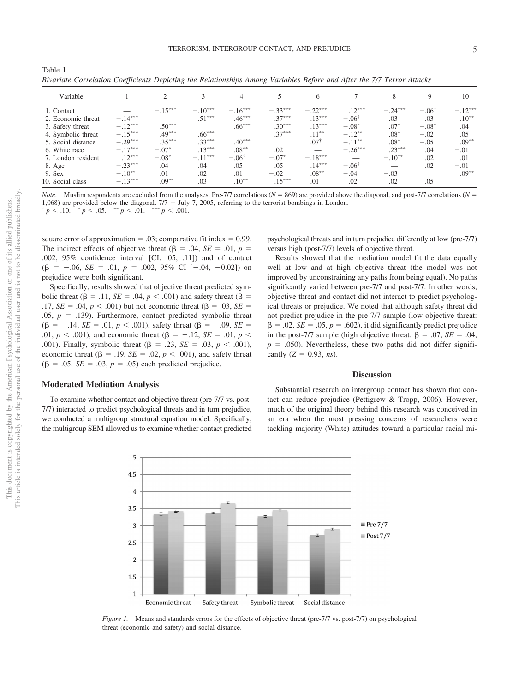| Divariate Corretation Coefficients Depicting the Ketationships Among variables Defore and After the 777 Terror Attacks |           |           |           |                  |           |                 |                  |           |                  |           |
|------------------------------------------------------------------------------------------------------------------------|-----------|-----------|-----------|------------------|-----------|-----------------|------------------|-----------|------------------|-----------|
| Variable                                                                                                               |           |           |           | 4                |           | 6               |                  |           | 9                | 10        |
| 1. Contact                                                                                                             |           | $-.15***$ | $-.10***$ | $-.16***$        | $-.33***$ | $-.22***$       | $.12***$         | $-.24***$ | $-.06^{\dagger}$ | $-.12***$ |
| 2. Economic threat                                                                                                     | $-.14***$ |           | $.51***$  | $.46***$         | $.37***$  | $.13***$        | $-.06^{\dagger}$ | .03       | .03              | $.10***$  |
| 3. Safety threat                                                                                                       | $-.12***$ | $.50***$  |           | $.66***$         | $.30***$  | $.13***$        | $-.08*$          | $.07*$    | $-.08*$          | .04       |
| 4. Symbolic threat                                                                                                     | $-.15***$ | $.49***$  | $.66***$  |                  | $.37***$  | $.11***$        | $-.12***$        | $.08*$    | $-.02$           | .05       |
| 5. Social distance                                                                                                     | $-.29***$ | $.35***$  | $.33***$  | $.40***$         |           | $.07^{\dagger}$ | $-.11***$        | $.08*$    | $-.05$           | $.09**$   |
| 6. White race                                                                                                          | $-.17***$ | $-.07*$   | $.13***$  | $.08***$         | .02       |                 | $-.26***$        | $.23***$  | .04              | $-.01$    |
| 7. London resident                                                                                                     | $.12***$  | $-.08*$   | $-.11***$ | $-.06^{\dagger}$ | $-.07*$   | $-.18***$       |                  | $-.10**$  | .02              | .01       |
| 8. Age                                                                                                                 | $-.23***$ | .04       | .04       | .05              | .05       | $.14***$        | $-.06^{\dagger}$ |           | .02              | $-.01$    |
| 9. Sex                                                                                                                 | $-.10**$  | .01       | .02       | .01              | $-.02$    | $.08***$        | $-.04$           | $-.03$    |                  | $.09***$  |
| 10. Social class                                                                                                       | $-.13***$ | $.09***$  | .03       | $.10**$          | $.15***$  | .01             | .02              | .02       | .05              |           |
|                                                                                                                        |           |           |           |                  |           |                 |                  |           |                  |           |

Table 1 *Bivariate Correlation Coefficients Depicting the Relationships Among Variables Before and After the 7/7 Terror Attacks*

*Note*. Muslim respondents are excluded from the analyses. Pre-7/7 correlations ( $N = 869$ ) are provided above the diagonal, and post-7/7 correlations ( $N = 869$ ) 1,068) are provided below the diagonal.  $7/7 =$  July 7, 2005, referring to the terrorist bombings in London.  $p^+ p < 0.10$ .  $p^+ p < 0.05$ .  $p^+ p < 0.01$ .  $p^+ p < 0.001$ .

square error of approximation  $= .03$ ; comparative fit index  $= 0.99$ . The indirect effects of objective threat ( $\beta = .04$ ,  $SE = .01$ ,  $p =$ .002, 95% confidence interval [CI: .05, .11]) and of contact  $(\beta = -.06, SE = .01, p = .002, 95\% \text{ CI } [-.04, -0.02])$  on prejudice were both significant.

Specifically, results showed that objective threat predicted symbolic threat ( $\beta = .11$ ,  $SE = .04$ ,  $p < .001$ ) and safety threat ( $\beta =$ .17, *SE* = .04, *p* < .001) but not economic threat ( $\beta$  = .03, *SE* =  $.05, p = .139$ ). Furthermore, contact predicted symbolic threat  $(\beta = -.14, SE = .01, p < .001)$ , safety threat  $(\beta = -.09, SE =$ .01,  $p < .001$ ), and economic threat ( $\beta = -.12$ ,  $SE = .01$ ,  $p < .01$ ) .001). Finally, symbolic threat  $(\beta = .23, SE = .03, p < .001)$ , economic threat  $(\beta = .19, SE = .02, p < .001)$ , and safety threat  $(\beta = .05, SE = .03, p = .05)$  each predicted prejudice.

#### **Moderated Mediation Analysis**

To examine whether contact and objective threat (pre-7/7 vs. post-7/7) interacted to predict psychological threats and in turn prejudice, we conducted a multigroup structural equation model. Specifically, the multigroup SEM allowed us to examine whether contact predicted psychological threats and in turn prejudice differently at low (pre-7/7) versus high (post-7/7) levels of objective threat.

Results showed that the mediation model fit the data equally well at low and at high objective threat (the model was not improved by unconstraining any paths from being equal). No paths significantly varied between pre-7/7 and post-7/7. In other words, objective threat and contact did not interact to predict psychological threats or prejudice. We noted that although safety threat did not predict prejudice in the pre-7/7 sample (low objective threat:  $\beta = 0.02$ ,  $SE = 0.05$ ,  $p = 0.602$ , it did significantly predict prejudice in the post-7/7 sample (high objective threat:  $\beta = .07$ ,  $SE = .04$ ,  $p = 0.050$ ). Nevertheless, these two paths did not differ significantly  $(Z = 0.93, ns)$ .

#### **Discussion**

Substantial research on intergroup contact has shown that contact can reduce prejudice (Pettigrew & Tropp, 2006). However, much of the original theory behind this research was conceived in an era when the most pressing concerns of researchers were tackling majority (White) attitudes toward a particular racial mi-



*Figure 1.* Means and standards errors for the effects of objective threat (pre-7/7 vs. post-7/7) on psychological threat (economic and safety) and social distance.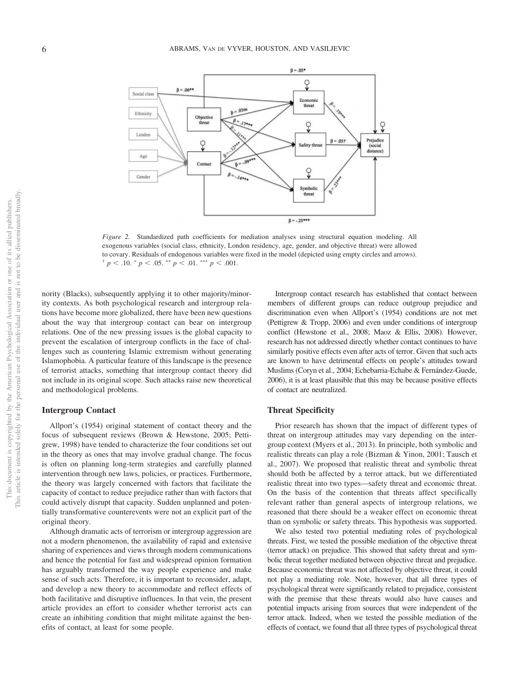

*Figure 2.* Standardized path coefficients for mediation analyses using structural equation modeling. All exogenous variables (social class, ethnicity, London residency, age, gender, and objective threat) were allowed to covary. Residuals of endogenous variables were fixed in the model (depicted using empty circles and arrows).  $\frac{p}{p}$  < .10.  $\frac{p}{p}$  < .05.  $\frac{p}{p}$  < .01.  $\frac{p}{p}$  < .001.

nority (Blacks), subsequently applying it to other majority/minority contexts. As both psychological research and intergroup relations have become more globalized, there have been new questions about the way that intergroup contact can bear on intergroup relations. One of the new pressing issues is the global capacity to prevent the escalation of intergroup conflicts in the face of challenges such as countering Islamic extremism without generating Islamophobia. A particular feature of this landscape is the presence of terrorist attacks, something that intergroup contact theory did not include in its original scope. Such attacks raise new theoretical and methodological problems.

#### **Intergroup Contact**

Allport's (1954) original statement of contact theory and the focus of subsequent reviews (Brown & Hewstone, 2005; Pettigrew, 1998) have tended to characterize the four conditions set out in the theory as ones that may involve gradual change. The focus is often on planning long-term strategies and carefully planned intervention through new laws, policies, or practices. Furthermore, the theory was largely concerned with factors that facilitate the capacity of contact to reduce prejudice rather than with factors that could actively disrupt that capacity. Sudden unplanned and potentially transformative counterevents were not an explicit part of the original theory.

Although dramatic acts of terrorism or intergroup aggression are not a modern phenomenon, the availability of rapid and extensive sharing of experiences and views through modern communications and hence the potential for fast and widespread opinion formation has arguably transformed the way people experience and make sense of such acts. Therefore, it is important to reconsider, adapt, and develop a new theory to accommodate and reflect effects of both facilitative and disruptive influences. In that vein, the present article provides an effort to consider whether terrorist acts can create an inhibiting condition that might militate against the benefits of contact, at least for some people.

Intergroup contact research has established that contact between members of different groups can reduce outgroup prejudice and discrimination even when Allport's (1954) conditions are not met (Pettigrew & Tropp, 2006) and even under conditions of intergroup conflict [\(Hewstone et al., 2008;](#page-8-1) Maoz & Ellis, 2008). However, research has not addressed directly whether contact continues to have similarly positive effects even after acts of terror. Given that such acts are known to have detrimental effects on people's attitudes toward Muslims (Coryn et al., 2004; Echebarria-Echabe & Fernández-Guede, 2006), it is at least plausible that this may be because positive effects of contact are neutralized.

#### **Threat Specificity**

Prior research has shown that the impact of different types of threat on intergroup attitudes may vary depending on the intergroup context (Myers et al., 2013). In principle, both symbolic and realistic threats can play a role (Bizman & Yinon, 2001; Tausch et al., 2007). We proposed that realistic threat and symbolic threat should both be affected by a terror attack, but we differentiated realistic threat into two types—safety threat and economic threat. On the basis of the contention that threats affect specifically relevant rather than general aspects of intergroup relations, we reasoned that there should be a weaker effect on economic threat than on symbolic or safety threats. This hypothesis was supported.

We also tested two potential mediating roles of psychological threats. First, we tested the possible mediation of the objective threat (terror attack) on prejudice. This showed that safety threat and symbolic threat together mediated between objective threat and prejudice. Because economic threat was not affected by objective threat, it could not play a mediating role. Note, however, that all three types of psychological threat were significantly related to prejudice, consistent with the premise that these threats would also have causes and potential impacts arising from sources that were independent of the terror attack. Indeed, when we tested the possible mediation of the effects of contact, we found that all three types of psychological threat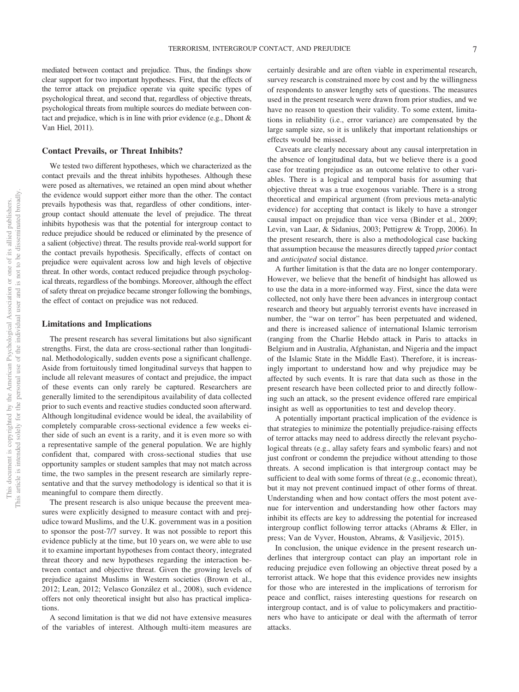mediated between contact and prejudice. Thus, the findings show clear support for two important hypotheses. First, that the effects of the terror attack on prejudice operate via quite specific types of psychological threat, and second that, regardless of objective threats, psychological threats from multiple sources do mediate between contact and prejudice, which is in line with prior evidence (e.g., Dhont & Van Hiel, 2011).

#### **Contact Prevails, or Threat Inhibits?**

We tested two different hypotheses, which we characterized as the contact prevails and the threat inhibits hypotheses. Although these were posed as alternatives, we retained an open mind about whether the evidence would support either more than the other. The contact prevails hypothesis was that, regardless of other conditions, intergroup contact should attenuate the level of prejudice. The threat inhibits hypothesis was that the potential for intergroup contact to reduce prejudice should be reduced or eliminated by the presence of a salient (objective) threat. The results provide real-world support for the contact prevails hypothesis. Specifically, effects of contact on prejudice were equivalent across low and high levels of objective threat. In other words, contact reduced prejudice through psychological threats, regardless of the bombings. Moreover, although the effect of safety threat on prejudice became stronger following the bombings, the effect of contact on prejudice was not reduced.

#### **Limitations and Implications**

The present research has several limitations but also significant strengths. First, the data are cross-sectional rather than longitudinal. Methodologically, sudden events pose a significant challenge. Aside from fortuitously timed longitudinal surveys that happen to include all relevant measures of contact and prejudice, the impact of these events can only rarely be captured. Researchers are generally limited to the serendipitous availability of data collected prior to such events and reactive studies conducted soon afterward. Although longitudinal evidence would be ideal, the availability of completely comparable cross-sectional evidence a few weeks either side of such an event is a rarity, and it is even more so with a representative sample of the general population. We are highly confident that, compared with cross-sectional studies that use opportunity samples or student samples that may not match across time, the two samples in the present research are similarly representative and that the survey methodology is identical so that it is meaningful to compare them directly.

The present research is also unique because the preevent measures were explicitly designed to measure contact with and prejudice toward Muslims, and the U.K. government was in a position to sponsor the post-7/7 survey. It was not possible to report this evidence publicly at the time, but 10 years on, we were able to use it to examine important hypotheses from contact theory, integrated threat theory and new hypotheses regarding the interaction between contact and objective threat. Given the growing levels of prejudice against Muslims in Western societies (Brown et al., 2012; Lean, 2012; Velasco González et al., 2008), such evidence offers not only theoretical insight but also has practical implications.

<span id="page-8-0"></span>A second limitation is that we did not have extensive measures of the variables of interest. Although multi-item measures are <span id="page-8-1"></span>certainly desirable and are often viable in experimental research, survey research is constrained more by cost and by the willingness of respondents to answer lengthy sets of questions. The measures used in the present research were drawn from prior studies, and we have no reason to question their validity. To some extent, limitations in reliability (i.e., error variance) are compensated by the large sample size, so it is unlikely that important relationships or effects would be missed.

Caveats are clearly necessary about any causal interpretation in the absence of longitudinal data, but we believe there is a good case for treating prejudice as an outcome relative to other variables. There is a logical and temporal basis for assuming that objective threat was a true exogenous variable. There is a strong theoretical and empirical argument (from previous meta-analytic evidence) for accepting that contact is likely to have a stronger causal impact on prejudice than vice versa (Binder et al., 2009; Levin, van Laar, & Sidanius, 2003; Pettigrew & Tropp, 2006). In the present research, there is also a methodological case backing that assumption because the measures directly tapped *prior* contact and *anticipated* social distance.

A further limitation is that the data are no longer contemporary. However, we believe that the benefit of hindsight has allowed us to use the data in a more-informed way. First, since the data were collected, not only have there been advances in intergroup contact research and theory but arguably terrorist events have increased in number, the "war on terror" has been perpetuated and widened, and there is increased salience of international Islamic terrorism (ranging from the Charlie Hebdo attack in Paris to attacks in Belgium and in Australia, Afghanistan, and Nigeria and the impact of the Islamic State in the Middle East). Therefore, it is increasingly important to understand how and why prejudice may be affected by such events. It is rare that data such as those in the present research have been collected prior to and directly following such an attack, so the present evidence offered rare empirical insight as well as opportunities to test and develop theory.

A potentially important practical implication of the evidence is that strategies to minimize the potentially prejudice-raising effects of terror attacks may need to address directly the relevant psychological threats (e.g., allay safety fears and symbolic fears) and not just confront or condemn the prejudice without attending to those threats. A second implication is that intergroup contact may be sufficient to deal with some forms of threat (e.g., economic threat), but it may not prevent continued impact of other forms of threat. Understanding when and how contact offers the most potent avenue for intervention and understanding how other factors may inhibit its effects are key to addressing the potential for increased intergroup conflict following terror attacks (Abrams & Eller, in press; Van de Vyver, Houston, Abrams, & Vasiljevic, 2015).

In conclusion, the unique evidence in the present research underlines that intergroup contact can play an important role in reducing prejudice even following an objective threat posed by a terrorist attack. We hope that this evidence provides new insights for those who are interested in the implications of terrorism for peace and conflict, raises interesting questions for research on intergroup contact, and is of value to policymakers and practitioners who have to anticipate or deal with the aftermath of terror attacks.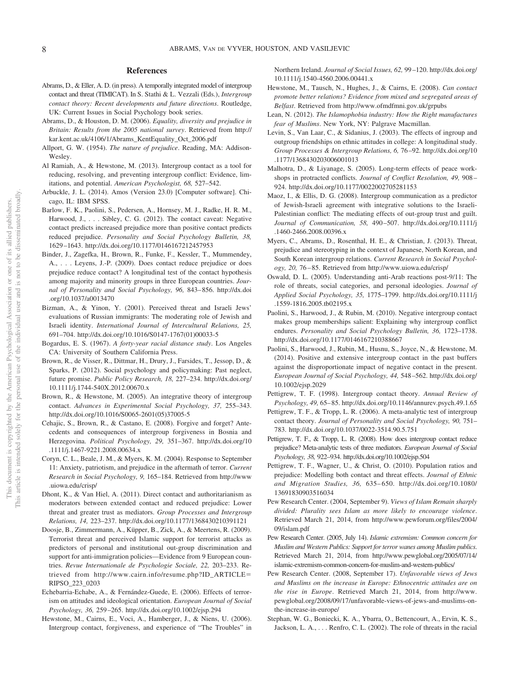#### **References**

- Abrams, D., & Eller, A. D. (in press). A temporally integrated model of intergroup contact and threat (TIMICAT). In S. Stathi & L. Vezzali (Eds.), *Intergroup contact theory: Recent developments and future directions*. Routledge, UK: Current Issues in Social Psychology book series.
- Abrams, D., & Houston, D. M. (2006). *Equality, diversity and prejudice in Britain: Results from the 2005 national survey*. Retrieved from [http://](http://kar.kent.ac.uk/4106/1/Abrams_KentEquality_Oct_2006.pdf) [kar.kent.ac.uk/4106/1/Abrams\\_KentEquality\\_Oct\\_2006.pdf](http://kar.kent.ac.uk/4106/1/Abrams_KentEquality_Oct_2006.pdf)
- Allport, G. W. (1954). *The nature of prejudice*. Reading, MA: Addison-Wesley.
- Al Ramiah, A., & Hewstone, M. (2013). Intergroup contact as a tool for reducing, resolving, and preventing intergroup conflict: Evidence, limitations, and potential. *American Psychologist, 68,* 527–542.
- Arbuckle, J. L. (2014). Amos (Version 23.0) [Computer software]. Chicago, IL: IBM SPSS.
- Barlow, F. K., Paolini, S., Pedersen, A., Hornsey, M. J., Radke, H. R. M., Harwood, J.,... Sibley, C. G. (2012). The contact caveat: Negative contact predicts increased prejudice more than positive contact predicts reduced prejudice. *Personality and Social Psychology Bulletin, 38,* 1629–1643.<http://dx.doi.org/10.1177/0146167212457953>
- Binder, J., Zagefka, H., Brown, R., Funke, F., Kessler, T., Mummendey, A., . . . Leyens, J.-P. (2009). Does contact reduce prejudice or does prejudice reduce contact? A longitudinal test of the contact hypothesis among majority and minority groups in three European countries. *Journal of Personality and Social Psychology, 96,* 843–856. [http://dx.doi](http://dx.doi.org/10.1037/a0013470) [.org/10.1037/a0013470](http://dx.doi.org/10.1037/a0013470)
- Bizman, A., & Yinon, Y. (2001). Perceived threat and Israeli Jews' evaluations of Russian immigrants: The moderating role of Jewish and Israeli identity. *International Journal of Intercultural Relations, 25,* 691–704. [http://dx.doi.org/10.1016/S0147-1767\(01\)00033-5](http://dx.doi.org/10.1016/S0147-1767%2801%2900033-5)
- Bogardus, E. S. (1967). *A forty-year racial distance study*. Los Angeles CA: University of Southern California Press.
- Brown, R., de Visser, R., Dittmar, H., Drury, J., Farsides, T., Jessop, D., & Sparks, P. (2012). Social psychology and policymaking: Past neglect, future promise. *Public Policy Research, 18,* 227–234. [http://dx.doi.org/](http://dx.doi.org/10.1111/j.1744-540X.2012.00670.x) [10.1111/j.1744-540X.2012.00670.x](http://dx.doi.org/10.1111/j.1744-540X.2012.00670.x)
- Brown, R., & Hewstone, M. (2005). An integrative theory of intergroup contact. *Advances in Experimental Social Psychology, 37,* 255–343. [http://dx.doi.org/10.1016/S0065-2601\(05\)37005-5](http://dx.doi.org/10.1016/S0065-2601%2805%2937005-5)
- Cehajic, S., Brown, R., & Castano, E. (2008). Forgive and forget? Antecedents and consequences of intergroup forgiveness in Bosnia and Herzegovina. *Political Psychology, 29,* 351–367. [http://dx.doi.org/10](http://dx.doi.org/10.1111/j.1467-9221.2008.00634.x) [.1111/j.1467-9221.2008.00634.x](http://dx.doi.org/10.1111/j.1467-9221.2008.00634.x)
- Coryn, C. L., Beale, J. M., & Myers, K. M. (2004). Response to September 11: Anxiety, patriotism, and prejudice in the aftermath of terror. *Current Research in Social Psychology, 9,* 165–184. Retrieved from [http://www](http://www.uiowa.edu/crisp/) [.uiowa.edu/crisp/](http://www.uiowa.edu/crisp/)
- Dhont, K., & Van Hiel, A. (2011). Direct contact and authoritarianism as moderators between extended contact and reduced prejudice: Lower threat and greater trust as mediators. *Group Processes and Intergroup Relations, 14,* 223–237.<http://dx.doi.org/10.1177/1368430210391121>
- Doosje, B., Zimmermann, A., Küpper, B., Zick, A., & Meertens, R. (2009). Terrorist threat and perceived Islamic support for terrorist attacks as predictors of personal and institutional out-group discrimination and support for anti-immigration policies—Evidence from 9 European countries. *Revue Internationale de Psychologie Sociale, 22,* 203–233. Retrieved from [http://www.cairn.info/resume.php?ID\\_ARTICLE](http://www.cairn.info/resume.php?ID_ARTICLE=RIPSO_223_0203)-[RIPSO\\_223\\_0203](http://www.cairn.info/resume.php?ID_ARTICLE=RIPSO_223_0203)
- Echebarria-Echabe, A., & Fernández-Guede, E. (2006). Effects of terrorism on attitudes and ideological orientation. *European Journal of Social Psychology, 36,* 259–265.<http://dx.doi.org/10.1002/ejsp.294>
- Hewstone, M., Cairns, E., Voci, A., Hamberger, J., & Niens, U. (2006). Intergroup contact, forgiveness, and experience of "The Troubles" in

Northern Ireland. *Journal of Social Issues, 62,* 99–120. [http://dx.doi.org/](http://dx.doi.org/10.1111/j.1540-4560.2006.00441.x) [10.1111/j.1540-4560.2006.00441.x](http://dx.doi.org/10.1111/j.1540-4560.2006.00441.x)

- Hewstone, M., Tausch, N., Hughes, J., & Cairns, E. (2008). *Can contact promote better relations? Evidence from mixed and segregated areas of Belfast*. Retrieved from<http://www.ofmdfmni.gov.uk/grpubs>
- Lean, N. (2012). *The Islamophobia industry: How the Right manufactures fear of Muslims*. New York, NY: Palgrave Macmillan.
- Levin, S., Van Laar, C., & Sidanius, J. (2003). The effects of ingroup and outgroup friendships on ethnic attitudes in college: A longitudinal study. *Group Processes & Intergroup Relations, 6,* 76–92. [http://dx.doi.org/10](http://dx.doi.org/10.1177/1368430203006001013) [.1177/1368430203006001013](http://dx.doi.org/10.1177/1368430203006001013)
- Malhotra, D., & Liyanage, S. (2005). Long-term effects of peace workshops in protracted conflicts. *Journal of Conflict Resolution, 49,* 908– 924.<http://dx.doi.org/10.1177/0022002705281153>
- Maoz, I., & Ellis, D. G. (2008). Intergroup communication as a predictor of Jewish-Israeli agreement with integrative solutions to the Israeli-Palestinian conflict: The mediating effects of out-group trust and guilt. *Journal of Communication, 58,* 490–507. [http://dx.doi.org/10.1111/j](http://dx.doi.org/10.1111/j.1460-2466.2008.00396.x) [.1460-2466.2008.00396.x](http://dx.doi.org/10.1111/j.1460-2466.2008.00396.x)
- Myers, C., Abrams, D., Rosenthal, H. E., & Christian, J. (2013). Threat, prejudice and stereotyping in the context of Japanese, North Korean, and South Korean intergroup relations. *Current Research in Social Psychology, 20,* 76–85. Retrieved from<http://www.uiowa.edu/crisp/>
- Oswald, D. L. (2005). Understanding anti-Arab reactions post-9/11: The role of threats, social categories, and personal ideologies. *Journal of Applied Social Psychology, 35,* 1775–1799. [http://dx.doi.org/10.1111/j](http://dx.doi.org/10.1111/j.1559-1816.2005.tb02195.x) [.1559-1816.2005.tb02195.x](http://dx.doi.org/10.1111/j.1559-1816.2005.tb02195.x)
- Paolini, S., Harwood, J., & Rubin, M. (2010). Negative intergroup contact makes group memberships salient: Explaining why intergroup conflict endures. *Personality and Social Psychology Bulletin, 36,* 1723–1738. <http://dx.doi.org/10.1177/0146167210388667>
- Paolini, S., Harwood, J., Rubin, M., Husnu, S., Joyce, N., & Hewstone, M. (2014). Positive and extensive intergroup contact in the past buffers against the disproportionate impact of negative contact in the present. *European Journal of Social Psychology, 44,* 548–562. [http://dx.doi.org/](http://dx.doi.org/10.1002/ejsp.2029) [10.1002/ejsp.2029](http://dx.doi.org/10.1002/ejsp.2029)
- Pettigrew, T. F. (1998). Intergroup contact theory. *Annual Review of Psychology, 49,* 65–85.<http://dx.doi.org/10.1146/annurev.psych.49.1.65>
- Pettigrew, T. F., & Tropp, L. R. (2006). A meta-analytic test of intergroup contact theory. *Journal of Personality and Social Psychology, 90,* 751– 783.<http://dx.doi.org/10.1037/0022-3514.90.5.751>
- Pettigrew, T. F., & Tropp, L. R. (2008). How does intergroup contact reduce prejudice? Meta-analytic tests of three mediators. *European Journal of Social Psychology, 38,* 922–934.<http://dx.doi.org/10.1002/ejsp.504>
- Pettigrew, T. F., Wagner, U., & Christ, O. (2010). Population ratios and prejudice: Modelling both contact and threat effects. *Journal of Ethnic and Migration Studies, 36,* 635–650. [http://dx.doi.org/10.1080/](http://dx.doi.org/10.1080/13691830903516034) [13691830903516034](http://dx.doi.org/10.1080/13691830903516034)
- Pew Research Center. (2004, September 9). *Views of Islam Remain sharply divided: Plurality sees Islam as more likely to encourage violence*. Retrieved March 21, 2014, from [http://www.pewforum.org/files/2004/](http://www.pewforum.org/files/2004/09/islam.pdf) [09/islam.pdf](http://www.pewforum.org/files/2004/09/islam.pdf)
- Pew Research Center. (2005, July 14). *Islamic extremism: Common concern for Muslim and Western Publics: Support for terror wanes among Muslim publics*. Retrieved March 21, 2014, from [http://www.pewglobal.org/2005/07/14/](http://www.pewglobal.org/2005/07/14/islamic-extremism-common-concern-for-muslim-and-western-publics/) [islamic-extremism-common-concern-for-muslim-and-western-publics/](http://www.pewglobal.org/2005/07/14/islamic-extremism-common-concern-for-muslim-and-western-publics/)
- Pew Research Center. (2008, September 17). *Unfavorable views of Jews and Muslims on the increase in Europe: Ethnocentric attitudes are on the rise in Europe*. Retrieved March 21, 2014, from [http://www.](http://www.pewglobal.org/2008/09/17/unfavorable-views-of-jews-and-muslims-on-the-increase-in-europe/) [pewglobal.org/2008/09/17/unfavorable-views-of-jews-and-muslims-on](http://www.pewglobal.org/2008/09/17/unfavorable-views-of-jews-and-muslims-on-the-increase-in-europe/)[the-increase-in-europe/](http://www.pewglobal.org/2008/09/17/unfavorable-views-of-jews-and-muslims-on-the-increase-in-europe/)
- Stephan, W. G., Boniecki, K. A., Ybarra, O., Bettencourt, A., Ervin, K. S., Jackson, L. A.,... Renfro, C. L. (2002). The role of threats in the racial